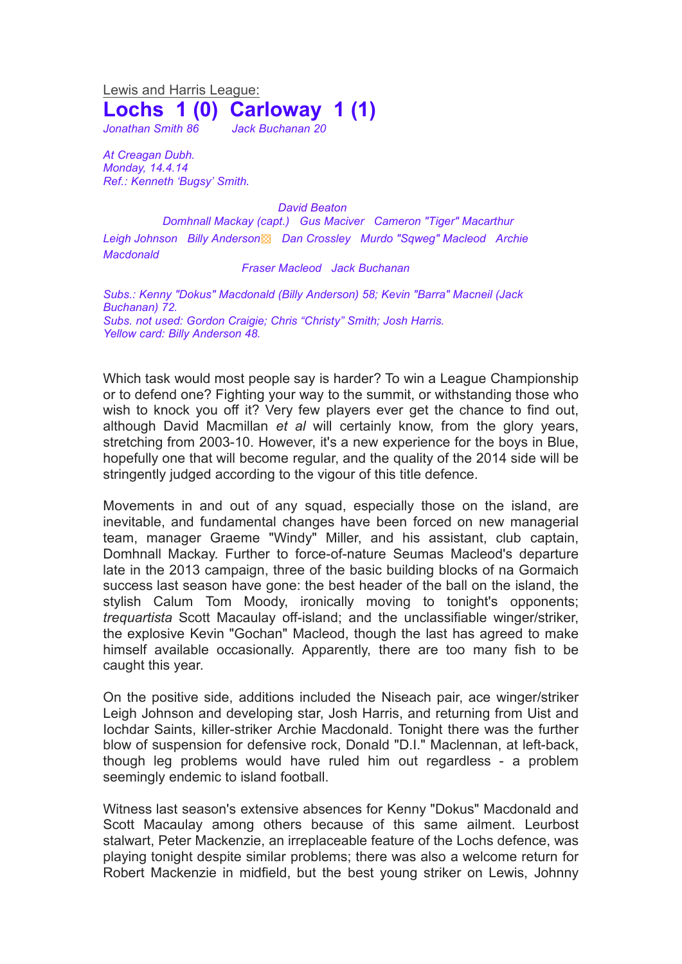Lewis and Harris League: **Lochs 1 (0) Carloway 1 (1)**

*Jonathan Smith 86 Jack Buchanan 20*

*At Creagan Dubh. Monday, 14.4.14 Ref.: Kenneth 'Bugsy' Smith.*

*David Beaton*

*Domhnall Mackay (capt.) Gus Maciver Cameron "Tiger" Macarthur Leigh Johnson Billy Anderson*▩ *Dan Crossley Murdo "Sqweg" Macleod Archie Macdonald*

## *Fraser Macleod Jack Buchanan*

*Subs.: Kenny "Dokus" Macdonald (Billy Anderson) 58; Kevin "Barra" Macneil (Jack Buchanan) 72. Subs. not used: Gordon Craigie; Chris "Christy" Smith; Josh Harris. Yellow card: Billy Anderson 48.*

Which task would most people say is harder? To win a League Championship or to defend one? Fighting your way to the summit, or withstanding those who wish to knock you off it? Very few players ever get the chance to find out, although David Macmillan *et al* will certainly know, from the glory years, stretching from 2003-10. However, it's a new experience for the boys in Blue, hopefully one that will become regular, and the quality of the 2014 side will be stringently judged according to the vigour of this title defence.

Movements in and out of any squad, especially those on the island, are inevitable, and fundamental changes have been forced on new managerial team, manager Graeme "Windy" Miller, and his assistant, club captain, Domhnall Mackay. Further to force-of-nature Seumas Macleod's departure late in the 2013 campaign, three of the basic building blocks of na Gormaich success last season have gone: the best header of the ball on the island, the stylish Calum Tom Moody, ironically moving to tonight's opponents; *trequartista* Scott Macaulay off-island; and the unclassifiable winger/striker, the explosive Kevin "Gochan" Macleod, though the last has agreed to make himself available occasionally. Apparently, there are too many fish to be caught this year.

On the positive side, additions included the Niseach pair, ace winger/striker Leigh Johnson and developing star, Josh Harris, and returning from Uist and Iochdar Saints, killer-striker Archie Macdonald. Tonight there was the further blow of suspension for defensive rock, Donald "D.I." Maclennan, at left-back, though leg problems would have ruled him out regardless - a problem seemingly endemic to island football.

Witness last season's extensive absences for Kenny "Dokus" Macdonald and Scott Macaulay among others because of this same ailment. Leurbost stalwart, Peter Mackenzie, an irreplaceable feature of the Lochs defence, was playing tonight despite similar problems; there was also a welcome return for Robert Mackenzie in midfield, but the best young striker on Lewis, Johnny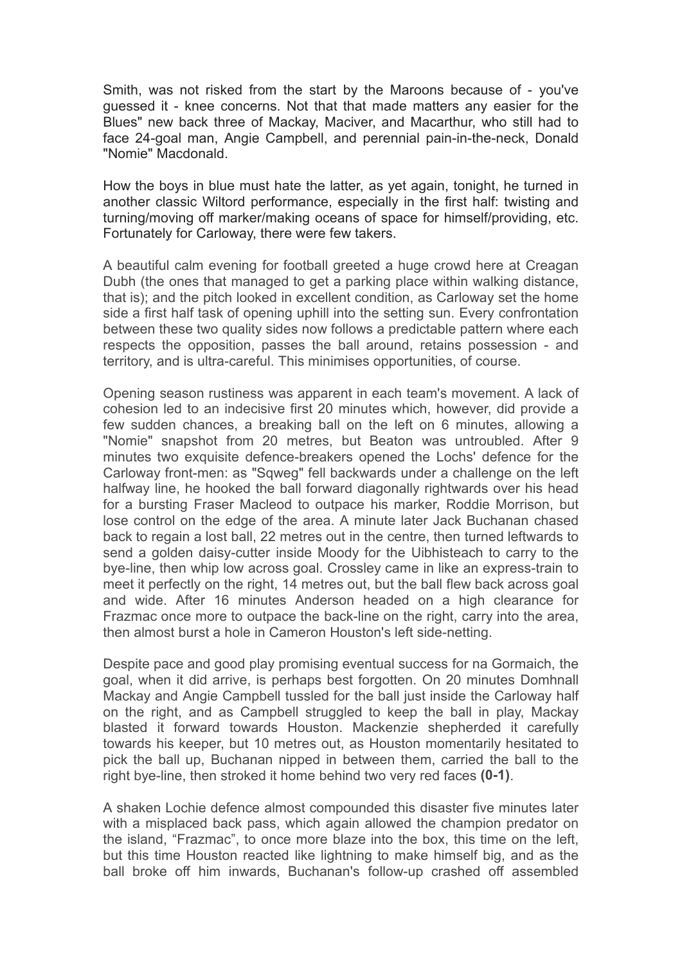Smith, was not risked from the start by the Maroons because of - you've guessed it - knee concerns. Not that that made matters any easier for the Blues" new back three of Mackay, Maciver, and Macarthur, who still had to face 24-goal man, Angie Campbell, and perennial pain-in-the-neck, Donald "Nomie" Macdonald.

How the boys in blue must hate the latter, as yet again, tonight, he turned in another classic Wiltord performance, especially in the first half: twisting and turning/moving off marker/making oceans of space for himself/providing, etc. Fortunately for Carloway, there were few takers.

A beautiful calm evening for football greeted a huge crowd here at Creagan Dubh (the ones that managed to get a parking place within walking distance, that is); and the pitch looked in excellent condition, as Carloway set the home side a first half task of opening uphill into the setting sun. Every confrontation between these two quality sides now follows a predictable pattern where each respects the opposition, passes the ball around, retains possession - and territory, and is ultra-careful. This minimises opportunities, of course.

Opening season rustiness was apparent in each team's movement. A lack of cohesion led to an indecisive first 20 minutes which, however, did provide a few sudden chances, a breaking ball on the left on 6 minutes, allowing a "Nomie" snapshot from 20 metres, but Beaton was untroubled. After 9 minutes two exquisite defence-breakers opened the Lochs' defence for the Carloway front-men: as "Sqweg" fell backwards under a challenge on the left halfway line, he hooked the ball forward diagonally rightwards over his head for a bursting Fraser Macleod to outpace his marker, Roddie Morrison, but lose control on the edge of the area. A minute later Jack Buchanan chased back to regain a lost ball, 22 metres out in the centre, then turned leftwards to send a golden daisy-cutter inside Moody for the Uibhisteach to carry to the bye-line, then whip low across goal. Crossley came in like an express-train to meet it perfectly on the right, 14 metres out, but the ball flew back across goal and wide. After 16 minutes Anderson headed on a high clearance for Frazmac once more to outpace the back-line on the right, carry into the area, then almost burst a hole in Cameron Houston's left side-netting.

Despite pace and good play promising eventual success for na Gormaich, the goal, when it did arrive, is perhaps best forgotten. On 20 minutes Domhnall Mackay and Angie Campbell tussled for the ball just inside the Carloway half on the right, and as Campbell struggled to keep the ball in play, Mackay blasted it forward towards Houston. Mackenzie shepherded it carefully towards his keeper, but 10 metres out, as Houston momentarily hesitated to pick the ball up, Buchanan nipped in between them, carried the ball to the right bye-line, then stroked it home behind two very red faces **(0-1)**.

A shaken Lochie defence almost compounded this disaster five minutes later with a misplaced back pass, which again allowed the champion predator on the island, "Frazmac", to once more blaze into the box, this time on the left, but this time Houston reacted like lightning to make himself big, and as the ball broke off him inwards, Buchanan's follow-up crashed off assembled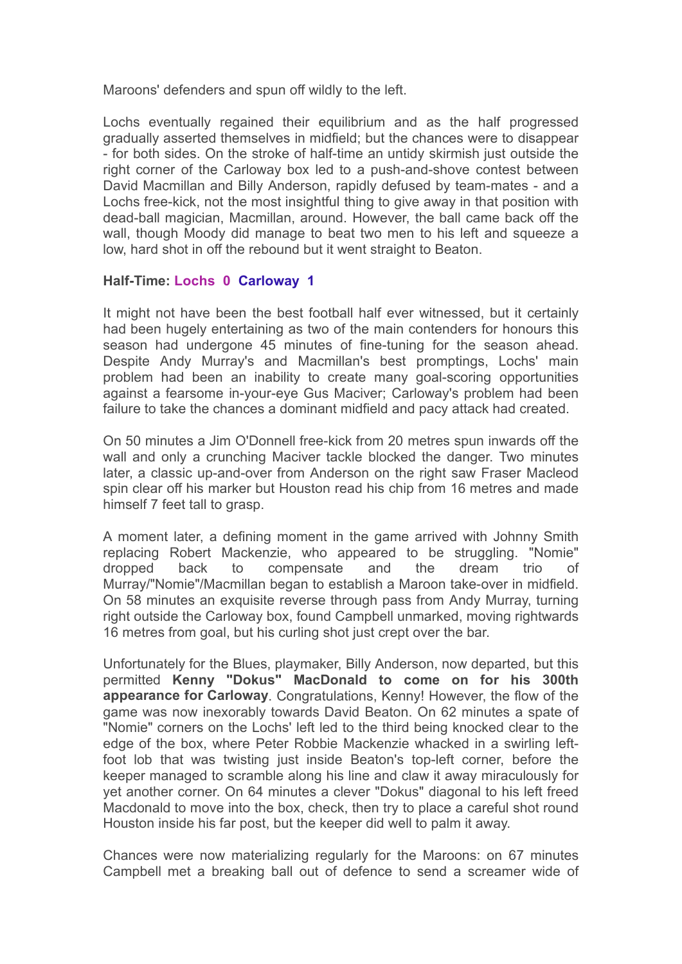Maroons' defenders and spun off wildly to the left.

Lochs eventually regained their equilibrium and as the half progressed gradually asserted themselves in midfield; but the chances were to disappear - for both sides. On the stroke of half-time an untidy skirmish just outside the right corner of the Carloway box led to a push-and-shove contest between David Macmillan and Billy Anderson, rapidly defused by team-mates - and a Lochs free-kick, not the most insightful thing to give away in that position with dead-ball magician, Macmillan, around. However, the ball came back off the wall, though Moody did manage to beat two men to his left and squeeze a low, hard shot in off the rebound but it went straight to Beaton.

## **Half-Time: Lochs 0 Carloway 1**

It might not have been the best football half ever witnessed, but it certainly had been hugely entertaining as two of the main contenders for honours this season had undergone 45 minutes of fine-tuning for the season ahead. Despite Andy Murray's and Macmillan's best promptings, Lochs' main problem had been an inability to create many goal-scoring opportunities against a fearsome in-your-eye Gus Maciver; Carloway's problem had been failure to take the chances a dominant midfield and pacy attack had created.

On 50 minutes a Jim O'Donnell free-kick from 20 metres spun inwards off the wall and only a crunching Maciver tackle blocked the danger. Two minutes later, a classic up-and-over from Anderson on the right saw Fraser Macleod spin clear off his marker but Houston read his chip from 16 metres and made himself 7 feet tall to grasp.

A moment later, a defining moment in the game arrived with Johnny Smith replacing Robert Mackenzie, who appeared to be struggling. "Nomie" dropped back to compensate and the dream trio of Murray/"Nomie"/Macmillan began to establish a Maroon take-over in midfield. On 58 minutes an exquisite reverse through pass from Andy Murray, turning right outside the Carloway box, found Campbell unmarked, moving rightwards 16 metres from goal, but his curling shot just crept over the bar.

Unfortunately for the Blues, playmaker, Billy Anderson, now departed, but this permitted **Kenny "Dokus" MacDonald to come on for his 300th appearance for Carloway**. Congratulations, Kenny! However, the flow of the game was now inexorably towards David Beaton. On 62 minutes a spate of "Nomie" corners on the Lochs' left led to the third being knocked clear to the edge of the box, where Peter Robbie Mackenzie whacked in a swirling leftfoot lob that was twisting just inside Beaton's top-left corner, before the keeper managed to scramble along his line and claw it away miraculously for yet another corner. On 64 minutes a clever "Dokus" diagonal to his left freed Macdonald to move into the box, check, then try to place a careful shot round Houston inside his far post, but the keeper did well to palm it away.

Chances were now materializing regularly for the Maroons: on 67 minutes Campbell met a breaking ball out of defence to send a screamer wide of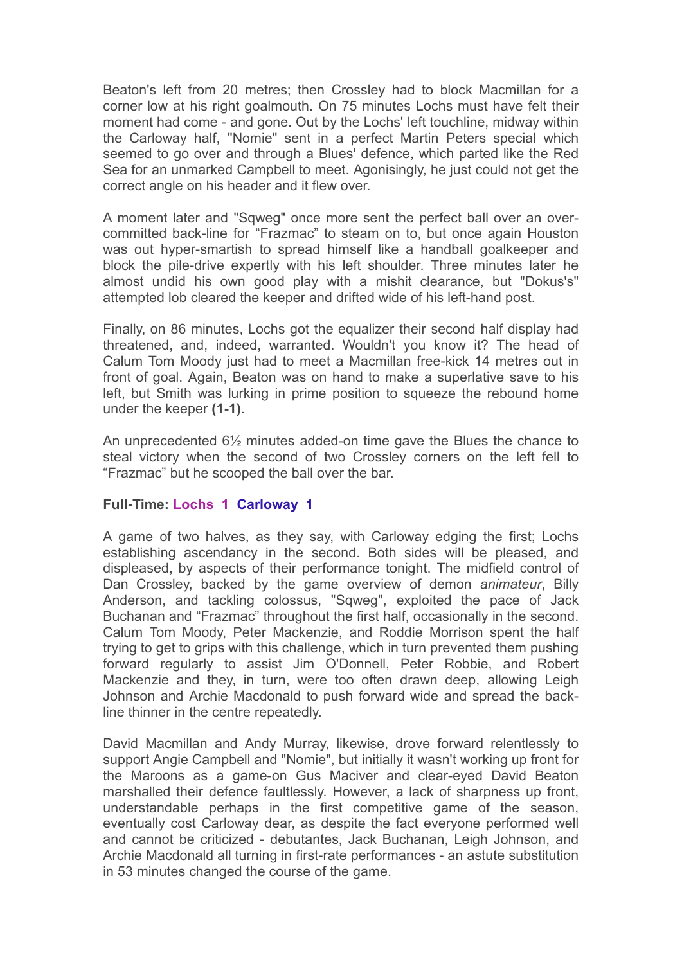Beaton's left from 20 metres; then Crossley had to block Macmillan for a corner low at his right goalmouth. On 75 minutes Lochs must have felt their moment had come - and gone. Out by the Lochs' left touchline, midway within the Carloway half, "Nomie" sent in a perfect Martin Peters special which seemed to go over and through a Blues' defence, which parted like the Red Sea for an unmarked Campbell to meet. Agonisingly, he just could not get the correct angle on his header and it flew over.

A moment later and "Sqweg" once more sent the perfect ball over an overcommitted back-line for "Frazmac" to steam on to, but once again Houston was out hyper-smartish to spread himself like a handball goalkeeper and block the pile-drive expertly with his left shoulder. Three minutes later he almost undid his own good play with a mishit clearance, but "Dokus's" attempted lob cleared the keeper and drifted wide of his left-hand post.

Finally, on 86 minutes, Lochs got the equalizer their second half display had threatened, and, indeed, warranted. Wouldn't you know it? The head of Calum Tom Moody just had to meet a Macmillan free-kick 14 metres out in front of goal. Again, Beaton was on hand to make a superlative save to his left, but Smith was lurking in prime position to squeeze the rebound home under the keeper **(1-1)**.

An unprecedented 6½ minutes added-on time gave the Blues the chance to steal victory when the second of two Crossley corners on the left fell to "Frazmac" but he scooped the ball over the bar.

## **Full-Time: Lochs 1 Carloway 1**

A game of two halves, as they say, with Carloway edging the first; Lochs establishing ascendancy in the second. Both sides will be pleased, and displeased, by aspects of their performance tonight. The midfield control of Dan Crossley, backed by the game overview of demon *animateur*, Billy Anderson, and tackling colossus, "Sqweg", exploited the pace of Jack Buchanan and "Frazmac" throughout the first half, occasionally in the second. Calum Tom Moody, Peter Mackenzie, and Roddie Morrison spent the half trying to get to grips with this challenge, which in turn prevented them pushing forward regularly to assist Jim O'Donnell, Peter Robbie, and Robert Mackenzie and they, in turn, were too often drawn deep, allowing Leigh Johnson and Archie Macdonald to push forward wide and spread the backline thinner in the centre repeatedly.

David Macmillan and Andy Murray, likewise, drove forward relentlessly to support Angie Campbell and "Nomie", but initially it wasn't working up front for the Maroons as a game-on Gus Maciver and clear-eyed David Beaton marshalled their defence faultlessly. However, a lack of sharpness up front, understandable perhaps in the first competitive game of the season, eventually cost Carloway dear, as despite the fact everyone performed well and cannot be criticized - debutantes, Jack Buchanan, Leigh Johnson, and Archie Macdonald all turning in first-rate performances - an astute substitution in 53 minutes changed the course of the game.